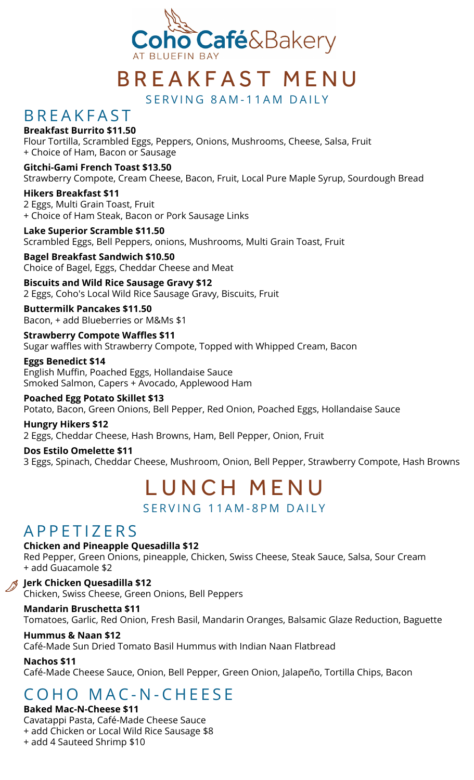

# B R E A K F A S T M E N U

SERVING 8AM-11AM DAILY

### **B R F A K F A S T**

### **Breakfast Burrito \$11.50**

Flour Tortilla, Scrambled Eggs, Peppers, Onions, Mushrooms, Cheese, Salsa, Fruit + Choice of Ham, Bacon or Sausage

**Gitchi-Gami French Toast \$13.50** Strawberry Compote, Cream Cheese, Bacon, Fruit, Local Pure Maple Syrup, Sourdough Bread

**Hikers Breakfast \$11** 2 Eggs, Multi Grain Toast, Fruit + Choice of Ham Steak, Bacon or Pork Sausage Links

**Lake Superior Scramble \$11.50** Scrambled Eggs, Bell Peppers, onions, Mushrooms, Multi Grain Toast, Fruit

**Bagel Breakfast Sandwich \$10.50** Choice of Bagel, Eggs, Cheddar Cheese and Meat

### **Biscuits and Wild Rice Sausage Gravy \$12**

2 Eggs, Coho's Local Wild Rice Sausage Gravy, Biscuits, Fruit

**Buttermilk Pancakes \$11.50** Bacon, + add Blueberries or M&Ms \$1

**Strawberry Compote Waffles \$11** Sugar waffles with Strawberry Compote, Topped with Whipped Cream, Bacon

**Eggs Benedict \$14** English Muffin, Poached Eggs, Hollandaise Sauce Smoked Salmon, Capers + Avocado, Applewood Ham

**Poached Egg Potato Skillet \$13** Potato, Bacon, Green Onions, Bell Pepper, Red Onion, Poached Eggs, Hollandaise Sauce

**Hungry Hikers \$12** 2 Eggs, Cheddar Cheese, Hash Browns, Ham, Bell Pepper, Onion, Fruit

**Dos Estilo Omelette \$11** 3 Eggs, Spinach, Cheddar Cheese, Mushroom, Onion, Bell Pepper, Strawberry Compote, Hash Browns

# LUNCH MENU

SERVING 11AM-8PM DAILY

## A P P E T I Z E R S

**Chicken and Pineapple Quesadilla \$12**

Red Pepper, Green Onions, pineapple, Chicken, Swiss Cheese, Steak Sauce, Salsa, Sour Cream + add Guacamole \$2

**Jerk Chicken Quesadilla \$12** Chicken, Swiss Cheese, Green Onions, Bell Peppers

### **Mandarin Bruschetta \$11**

Tomatoes, Garlic, Red Onion, Fresh Basil, Mandarin Oranges, Balsamic Glaze Reduction, Baguette

### **Hummus & Naan \$12**

Café-Made Sun Dried Tomato Basil Hummus with Indian Naan Flatbread

**Nachos \$11**

Café-Made Cheese Sauce, Onion, Bell Pepper, Green Onion, Jalapeño, Tortilla Chips, Bacon

# C O H O M A C - N - C H E E S E

### **Baked Mac-N-Cheese \$11**

Cavatappi Pasta, Café-Made Cheese Sauce

+ add Chicken or Local Wild Rice Sausage \$8

+ add 4 Sauteed Shrimp \$10